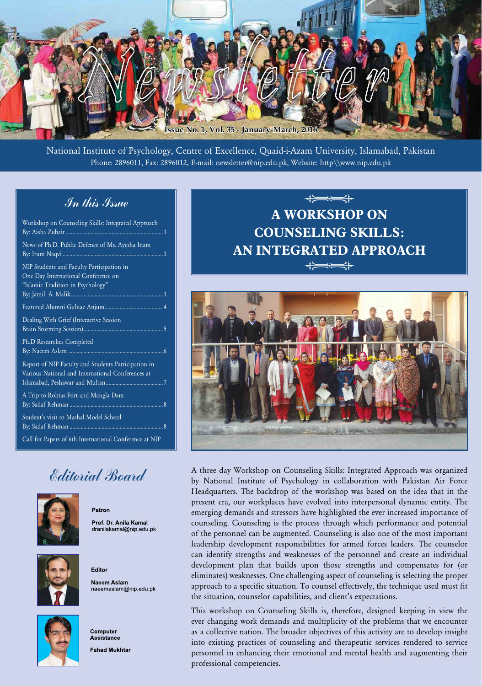

National Institute of Psychology, Centre of Excellence, Quaid-i-Azam University, Islamabad, Pakistan Phone: 2896011, Fax: 2896012, E-mail: newsletter@nip.edu.pk, Website: http\\www.nip.edu.pk

# In this Issue

| Workshop on Counseling Skills: Integrated Approach                                                                    |
|-----------------------------------------------------------------------------------------------------------------------|
| News of Ph.D. Public Defence of Ms. Ayesha Inam                                                                       |
| NIP Students and Faculty Participation in<br>One Day International Conference on<br>"Islamic Tradition in Psychology" |
|                                                                                                                       |
| Dealing With Grief (Interactive Session                                                                               |
| Ph.D Researches Completed                                                                                             |
| Report of NIP Faculty and Students Participation in<br>Various National and International Conferences at              |
| A Trip to Rohtas Fort and Mangla Dam                                                                                  |
| Student's visit to Mashal Model School                                                                                |
| Call for Papers of 6th International Conference at NIP                                                                |

# Editorial Board

Patron

Editor



Prof. Dr. Anila Kamal dranilakamal@nip.edu.pk



Naeem Aslam naeemaslam@nip.edu.pk



Computer **Assistance Fahad Mukhtar** 

# $\leftarrow$ **A WORKSHOP ON COUNSELING SKILLS: AN INTEGRATED APPROACH**  $\Rightarrow$



A three day Workshop on Counseling Skills: Integrated Approach was organized by National Institute of Psychology in collaboration with Pakistan Air Force Headquarters. The backdrop of the workshop was based on the idea that in the present era, our workplaces have evolved into interpersonal dynamic entity. The emerging demands and stressors have highlighted the ever increased importance of counseling. Counseling is the process through which performance and potential of the personnel can be augmented. Counseling is also one of the most important leadership development responsibilities for armed forces leaders. The counselor can identify strengths and weaknesses of the personnel and create an individual development plan that builds upon those strengths and compensates for (or eliminates) weaknesses. One challenging aspect of counseling is selecting the proper approach to a specific situation. To counsel effectively, the technique used must fit the situation, counselor capabilities, and client's expectations.

This workshop on Counseling Skills is, therefore, designed keeping in view the ever changing work demands and multiplicity of the problems that we encounter as a collective nation. The broader objectives of this activity are to develop insight into existing practices of counseling and therapeutic services rendered to service personnel in enhancing their emotional and mental health and augmenting their professional competencies.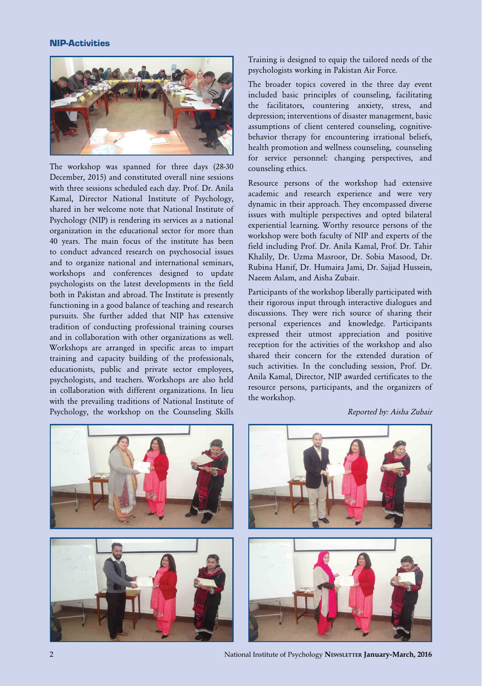#### NIP-Activities



The workshop was spanned for three days (28-30 December, 2015) and constituted overall nine sessions with three sessions scheduled each day. Prof. Dr. Anila Kamal, Director National Institute of Psychology, shared in her welcome note that National Institute of Psychology (NIP) is rendering its services as a national organization in the educational sector for more than 40 years. The main focus of the institute has been to conduct advanced research on psychosocial issues and to organize national and international seminars, workshops and conferences designed to update psychologists on the latest developments in the field both in Pakistan and abroad. The Institute is presently functioning in a good balance of teaching and research pursuits. She further added that NIP has extensive tradition of conducting professional training courses and in collaboration with other organizations as well. Workshops are arranged in specific areas to impart training and capacity building of the professionals, educationists, public and private sector employees, psychologists, and teachers. Workshops are also held in collaboration with different organizations. In lieu with the prevailing traditions of National Institute of Psychology, the workshop on the Counseling Skills

Training is designed to equip the tailored needs of the psychologists working in Pakistan Air Force.

The broader topics covered in the three day event included basic principles of counseling, facilitating the facilitators, countering anxiety, stress, and depression; interventions of disaster management, basic assumptions of client centered counseling, cognitivebehavior therapy for encountering irrational beliefs, health promotion and wellness counseling, counseling for service personnel: changing perspectives, and counseling ethics.

Resource persons of the workshop had extensive academic and research experience and were very dynamic in their approach. They encompassed diverse issues with multiple perspectives and opted bilateral experiential learning. Worthy resource persons of the workshop were both faculty of NIP and experts of the field including Prof. Dr. Anila Kamal, Prof. Dr. Tahir Khalily, Dr. Uzma Masroor, Dr. Sobia Masood, Dr. Rubina Hanif, Dr. Humaira Jami, Dr. Sajjad Hussein, Naeem Aslam, and Aisha Zubair.

Participants of the workshop liberally participated with their rigorous input through interactive dialogues and discussions. They were rich source of sharing their personal experiences and knowledge. Participants expressed their utmost appreciation and positive reception for the activities of the workshop and also shared their concern for the extended duration of such activities. In the concluding session, Prof. Dr. Anila Kamal, Director, NIP awarded certificates to the resource persons, participants, and the organizers of the workshop.





2 National Institute of Psychology **Newsletter January-March, 2016**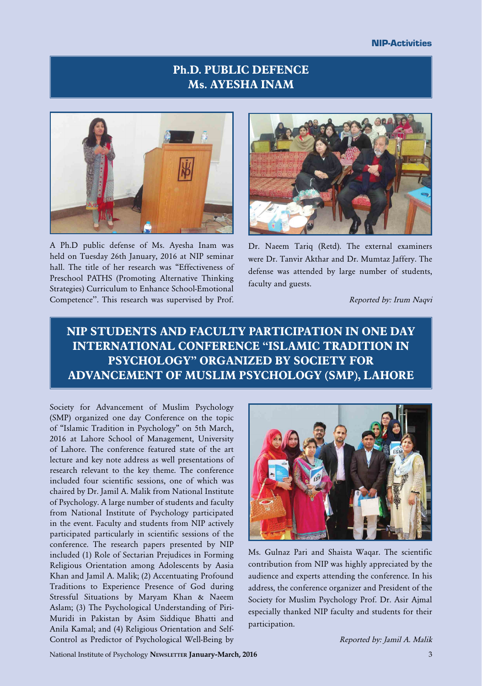# **Ph.D. PUBLIC DEFENCE Ms. AYESHA INAM**



A Ph.D public defense of Ms. Ayesha Inam was held on Tuesday 26th January, 2016 at NIP seminar hall. The title of her research was "Effectiveness of Preschool PATHS (Promoting Alternative Thinking Strategies) Curriculum to Enhance School-Emotional Competence''. This research was supervised by Prof.



Dr. Naeem Tariq (Retd). The external examiners were Dr. Tanvir Akthar and Dr. Mumtaz Jaffery. The defense was attended by large number of students, faculty and guests.

Reported by: Irum Naqvi

# **NIP STUDENTS AND FACULTY PARTICIPATION IN ONE DAY INTERNATIONAL CONFERENCE "ISLAMIC TRADITION IN PSYCHOLOGY" ORGANIZED BY SOCIETY FOR ADVANCEMENT OF MUSLIM PSYCHOLOGY (SMP), LAHORE**

Society for Advancement of Muslim Psychology (SMP) organized one day Conference on the topic of "Islamic Tradition in Psychology" on 5th March, 2016 at Lahore School of Management, University of Lahore. The conference featured state of the art lecture and key note address as well presentations of research relevant to the key theme. The conference included four scientific sessions, one of which was chaired by Dr. Jamil A. Malik from National Institute of Psychology. A large number of students and faculty from National Institute of Psychology participated in the event. Faculty and students from NIP actively participated particularly in scientific sessions of the conference. The research papers presented by NIP included (1) Role of Sectarian Prejudices in Forming Religious Orientation among Adolescents by Aasia Khan and Jamil A. Malik; (2) Accentuating Profound Traditions to Experience Presence of God during Stressful Situations by Maryam Khan & Naeem Aslam; (3) The Psychological Understanding of Piri-Muridi in Pakistan by Asim Siddique Bhatti and Anila Kamal; and (4) Religious Orientation and Self-Control as Predictor of Psychological Well-Being by



Ms. Gulnaz Pari and Shaista Waqar. The scientific contribution from NIP was highly appreciated by the audience and experts attending the conference. In his address, the conference organizer and President of the Society for Muslim Psychology Prof. Dr. Asir Ajmal especially thanked NIP faculty and students for their participation.

Reported by: Jamil A. Malik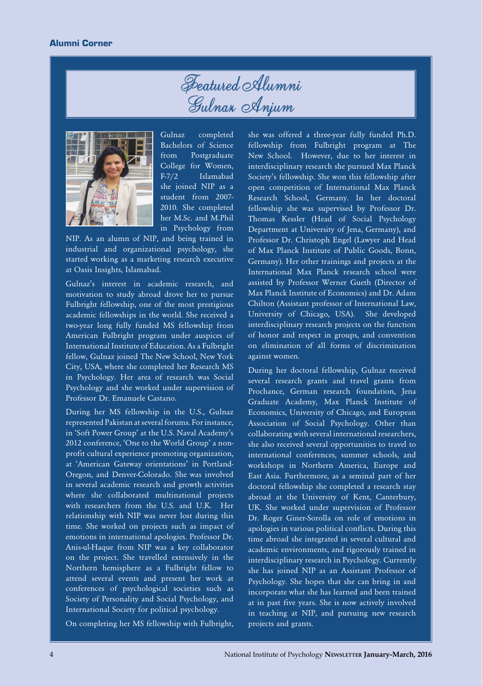



Gulnaz completed Bachelors of Science from Postgraduate College for Women, F-7/2 Islamabad she joined NIP as a student from 2007- 2010. She completed her M.Sc. and M.Phil in Psychology from

NIP. As an alumn of NIP, and being trained in industrial and organizational psychology, she started working as a marketing research executive at Oasis Insights, Islamabad.

Gulnaz's interest in academic research, and motivation to study abroad drove her to pursue Fulbright fellowship, one of the most prestigious academic fellowships in the world. She received a two-year long fully funded MS fellowship from American Fulbright program under auspices of International Institute of Education. As a Fulbright fellow, Gulnaz joined The New School, New York City, USA, where she completed her Research MS in Psychology. Her area of research was Social Psychology and she worked under supervision of Professor Dr. Emanuele Castano.

During her MS fellowship in the U.S., Gulnaz represented Pakistan at several forums. For instance, in 'Soft Power Group' at the U.S. Naval Academy's 2012 conference, 'One to the World Group' a nonprofit cultural experience promoting organization, at 'American Gateway orientations' in Portland-Oregon, and Denver-Colorado. She was involved in several academic research and growth activities where she collaborated multinational projects with researchers from the U.S. and U.K. Her relationship with NIP was never lost during this time. She worked on projects such as impact of emotions in international apologies. Professor Dr. Anis-ul-Haque from NIP was a key collaborator on the project. She travelled extensively in the Northern hemisphere as a Fulbright fellow to attend several events and present her work at conferences of psychological societies such as Society of Personality and Social Psychology, and International Society for political psychology.

On completing her MS fellowship with Fulbright,

she was offered a three-year fully funded Ph.D. fellowship from Fulbright program at The New School. However, due to her interest in interdisciplinary research she pursued Max Planck Society's fellowship. She won this fellowship after open competition of International Max Planck Research School, Germany. In her doctoral fellowship she was supervised by Professor Dr. Thomas Kessler (Head of Social Psychology Department at University of Jena, Germany), and Professor Dr. Christoph Engel (Lawyer and Head of Max Planck Institute of Public Goods, Bonn, Germany). Her other trainings and projects at the International Max Planck research school were assisted by Professor Werner Gueth (Director of Max Planck Institute of Economics) and Dr. Adam Chilton (Assistant professor of International Law, University of Chicago, USA). She developed interdisciplinary research projects on the function of honor and respect in groups, and convention on elimination of all forms of discrimination against women.

During her doctoral fellowship, Gulnaz received several research grants and travel grants from Prochance, German research foundation, Jena Graduate Academy, Max Planck Institute of Economics, University of Chicago, and European Association of Social Psychology. Other than collaborating with several international researchers, she also received several opportunities to travel to international conferences, summer schools, and workshops in Northern America, Europe and East Asia. Furthermore, as a seminal part of her doctoral fellowship she completed a research stay abroad at the University of Kent, Canterbury, UK. She worked under supervision of Professor Dr. Roger Giner-Sorolla on role of emotions in apologies in various political conflicts. During this time abroad she integrated in several cultural and academic environments, and rigorously trained in interdisciplinary research in Psychology. Currently she has joined NIP as an Assistant Professor of Psychology. She hopes that she can bring in and incorporate what she has learned and been trained at in past five years. She is now actively involved in teaching at NIP, and pursuing new research projects and grants.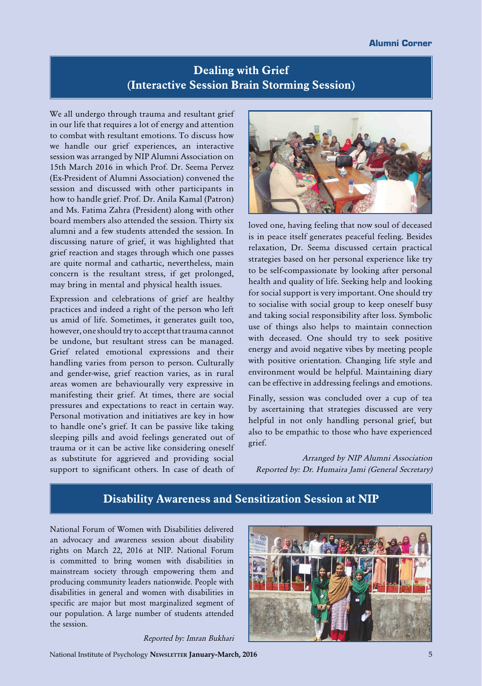## **Dealing with Grief (Interactive Session Brain Storming Session)**

We all undergo through trauma and resultant grief in our life that requires a lot of energy and attention to combat with resultant emotions. To discuss how we handle our grief experiences, an interactive session was arranged by NIP Alumni Association on 15th March 2016 in which Prof. Dr. Seema Pervez (Ex-President of Alumni Association) convened the session and discussed with other participants in how to handle grief. Prof. Dr. Anila Kamal (Patron) and Ms. Fatima Zahra (President) along with other board members also attended the session. Thirty six alumni and a few students attended the session. In discussing nature of grief, it was highlighted that grief reaction and stages through which one passes are quite normal and cathartic, nevertheless, main concern is the resultant stress, if get prolonged, may bring in mental and physical health issues.

Expression and celebrations of grief are healthy practices and indeed a right of the person who left us amid of life. Sometimes, it generates guilt too, however, one should try to accept that trauma cannot be undone, but resultant stress can be managed. Grief related emotional expressions and their handling varies from person to person. Culturally and gender-wise, grief reaction varies, as in rural areas women are behaviourally very expressive in manifesting their grief. At times, there are social pressures and expectations to react in certain way. Personal motivation and initiatives are key in how to handle one's grief. It can be passive like taking sleeping pills and avoid feelings generated out of trauma or it can be active like considering oneself as substitute for aggrieved and providing social support to significant others. In case of death of



loved one, having feeling that now soul of deceased is in peace itself generates peaceful feeling. Besides relaxation, Dr. Seema discussed certain practical strategies based on her personal experience like try to be self-compassionate by looking after personal health and quality of life. Seeking help and looking for social support is very important. One should try to socialise with social group to keep oneself busy and taking social responsibility after loss. Symbolic use of things also helps to maintain connection with deceased. One should try to seek positive energy and avoid negative vibes by meeting people with positive orientation. Changing life style and environment would be helpful. Maintaining diary can be effective in addressing feelings and emotions.

Finally, session was concluded over a cup of tea by ascertaining that strategies discussed are very helpful in not only handling personal grief, but also to be empathic to those who have experienced grief.

Arranged by NIP Alumni Association Reported by: Dr. Humaira Jami (General Secretary)

### **Disability Awareness and Sensitization Session at NIP**

National Forum of Women with Disabilities delivered an advocacy and awareness session about disability rights on March 22, 2016 at NIP. National Forum is committed to bring women with disabilities in mainstream society through empowering them and producing community leaders nationwide. People with disabilities in general and women with disabilities in specific are major but most marginalized segment of our population. A large number of students attended the session.



Reported by: Imran Bukhari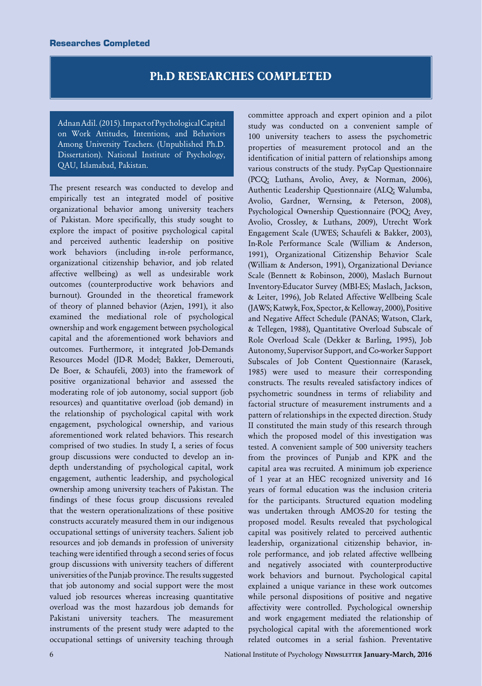### **Ph.D RESEARCHES COMPLETED**

Adnan Adil. (2015). Impact of Psychological Capital on Work Attitudes, Intentions, and Behaviors Among University Teachers. (Unpublished Ph.D. Dissertation). National Institute of Psychology, QAU, Islamabad, Pakistan.

The present research was conducted to develop and empirically test an integrated model of positive organizational behavior among university teachers of Pakistan. More specifically, this study sought to explore the impact of positive psychological capital and perceived authentic leadership on positive work behaviors (including in-role performance, organizational citizenship behavior, and job related affective wellbeing) as well as undesirable work outcomes (counterproductive work behaviors and burnout). Grounded in the theoretical framework of theory of planned behavior (Azjen, 1991), it also examined the mediational role of psychological ownership and work engagement between psychological capital and the aforementioned work behaviors and outcomes. Furthermore, it integrated Job-Demands Resources Model (JD-R Model; Bakker, Demerouti, De Boer, & Schaufeli, 2003) into the framework of positive organizational behavior and assessed the moderating role of job autonomy, social support (job resources) and quantitative overload (job demand) in the relationship of psychological capital with work engagement, psychological ownership, and various aforementioned work related behaviors. This research comprised of two studies. In study I, a series of focus group discussions were conducted to develop an indepth understanding of psychological capital, work engagement, authentic leadership, and psychological ownership among university teachers of Pakistan. The findings of these focus group discussions revealed that the western operationalizations of these positive constructs accurately measured them in our indigenous occupational settings of university teachers. Salient job resources and job demands in profession of university teaching were identified through a second series of focus group discussions with university teachers of different universities of the Punjab province. The results suggested that job autonomy and social support were the most valued job resources whereas increasing quantitative overload was the most hazardous job demands for Pakistani university teachers. The measurement instruments of the present study were adapted to the occupational settings of university teaching through

committee approach and expert opinion and a pilot study was conducted on a convenient sample of 100 university teachers to assess the psychometric properties of measurement protocol and an the identification of initial pattern of relationships among various constructs of the study. PsyCap Questionnaire (PCQ; Luthans, Avolio, Avey, & Norman, 2006), Authentic Leadership Questionnaire (ALQ; Walumba, Avolio, Gardner, Wernsing, & Peterson, 2008), Psychological Ownership Questionnaire (POQ; Avey, Avolio, Crossley, & Luthans, 2009), Utrecht Work Engagement Scale (UWES; Schaufeli & Bakker, 2003), In-Role Performance Scale (William & Anderson, 1991), Organizational Citizenship Behavior Scale (William & Anderson, 1991), Organizational Deviance Scale (Bennett & Robinson, 2000), Maslach Burnout Inventory-Educator Survey (MBI-ES; Maslach, Jackson, & Leiter, 1996), Job Related Affective Wellbeing Scale (JAWS; Katwyk, Fox, Spector, & Kelloway, 2000), Positive and Negative Affect Schedule (PANAS; Watson, Clark, & Tellegen, 1988), Quantitative Overload Subscale of Role Overload Scale (Dekker & Barling, 1995), Job Autonomy, Supervisor Support, and Co-worker Support Subscales of Job Content Questionnaire (Karasek, 1985) were used to measure their corresponding constructs. The results revealed satisfactory indices of psychometric soundness in terms of reliability and factorial structure of measurement instruments and a pattern of relationships in the expected direction. Study II constituted the main study of this research through which the proposed model of this investigation was tested. A convenient sample of 500 university teachers from the provinces of Punjab and KPK and the capital area was recruited. A minimum job experience of 1 year at an HEC recognized university and 16 years of formal education was the inclusion criteria for the participants. Structured equation modeling was undertaken through AMOS-20 for testing the proposed model. Results revealed that psychological capital was positively related to perceived authentic leadership, organizational citizenship behavior, inrole performance, and job related affective wellbeing and negatively associated with counterproductive work behaviors and burnout. Psychological capital explained a unique variance in these work outcomes while personal dispositions of positive and negative affectivity were controlled. Psychological ownership and work engagement mediated the relationship of psychological capital with the aforementioned work related outcomes in a serial fashion. Preventative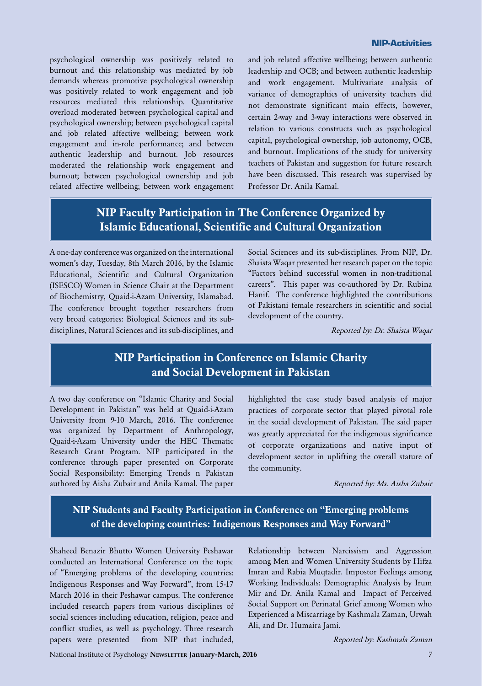#### NIP-Activities

psychological ownership was positively related to burnout and this relationship was mediated by job demands whereas promotive psychological ownership was positively related to work engagement and job resources mediated this relationship. Quantitative overload moderated between psychological capital and psychological ownership; between psychological capital and job related affective wellbeing; between work engagement and in-role performance; and between authentic leadership and burnout. Job resources moderated the relationship work engagement and burnout; between psychological ownership and job related affective wellbeing; between work engagement and job related affective wellbeing; between authentic leadership and OCB; and between authentic leadership and work engagement. Multivariate analysis of variance of demographics of university teachers did not demonstrate significant main effects, however, certain 2-way and 3-way interactions were observed in relation to various constructs such as psychological capital, psychological ownership, job autonomy, OCB, and burnout. Implications of the study for university teachers of Pakistan and suggestion for future research have been discussed. This research was supervised by Professor Dr. Anila Kamal.

# **NIP Faculty Participation in The Conference Organized by Islamic Educational, Scientific and Cultural Organization**

A one-day conference was organized on the international women's day, Tuesday, 8th March 2016, by the Islamic Educational, Scientific and Cultural Organization (ISESCO) Women in Science Chair at the Department of Biochemistry, Quaid-i-Azam University, Islamabad. The conference brought together researchers from very broad categories: Biological Sciences and its subdisciplines, Natural Sciences and its sub-disciplines, and

Social Sciences and its sub-disciplines. From NIP, Dr. Shaista Waqar presented her research paper on the topic "Factors behind successful women in non-traditional careers". This paper was co-authored by Dr. Rubina Hanif. The conference highlighted the contributions of Pakistani female researchers in scientific and social development of the country.

Reported by: Dr. Shaista Waqar

### **NIP Participation in Conference on Islamic Charity and Social Development in Pakistan**

A two day conference on "Islamic Charity and Social Development in Pakistan" was held at Quaid-i-Azam University from 9-10 March, 2016. The conference was organized by Department of Anthropology, Quaid-i-Azam University under the HEC Thematic Research Grant Program. NIP participated in the conference through paper presented on Corporate Social Responsibility: Emerging Trends n Pakistan authored by Aisha Zubair and Anila Kamal. The paper highlighted the case study based analysis of major practices of corporate sector that played pivotal role in the social development of Pakistan. The said paper was greatly appreciated for the indigenous significance of corporate organizations and native input of development sector in uplifting the overall stature of the community.

Reported by: Ms. Aisha Zubair

## **NIP Students and Faculty Participation in Conference on "Emerging problems of the developing countries: Indigenous Responses and Way Forward"**

Shaheed Benazir Bhutto Women University Peshawar conducted an International Conference on the topic of "Emerging problems of the developing countries: Indigenous Responses and Way Forward", from 15-17 March 2016 in their Peshawar campus. The conference included research papers from various disciplines of social sciences including education, religion, peace and conflict studies, as well as psychology. Three research papers were presented from NIP that included,

Relationship between Narcissism and Aggression among Men and Women University Students by Hifza Imran and Rabia Muqtadir. Impostor Feelings among Working Individuals: Demographic Analysis by Irum Mir and Dr. Anila Kamal and Impact of Perceived Social Support on Perinatal Grief among Women who Experienced a Miscarriage by Kashmala Zaman, Urwah Ali, and Dr. Humaira Jami.

Reported by: Kashmala Zaman

National Institute of Psychology **Newsletter January-March, 2016** 7